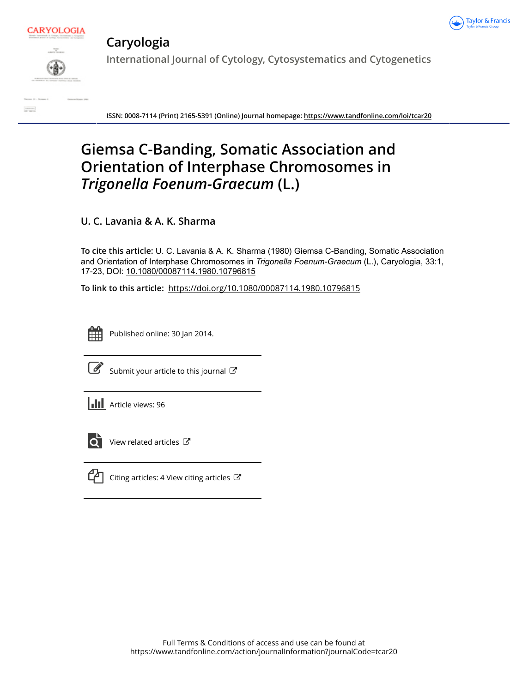



## **Caryologia**

**International Journal of Cytology, Cytosystematics and Cytogenetics**

**ISSN: 0008-7114 (Print) 2165-5391 (Online) Journal homepage:<https://www.tandfonline.com/loi/tcar20>**

# **Giemsa C-Banding, Somatic Association and Orientation of Interphase Chromosomes in** *Trigonella Foenum-Graecum* **(L.)**

**U. C. Lavania & A. K. Sharma**

**To cite this article:** U. C. Lavania & A. K. Sharma (1980) Giemsa C-Banding, Somatic Association and Orientation of Interphase Chromosomes in *Trigonella Foenum-Graecum* (L.), Caryologia, 33:1, 17-23, DOI: [10.1080/00087114.1980.10796815](https://www.tandfonline.com/action/showCitFormats?doi=10.1080/00087114.1980.10796815)

**To link to this article:** <https://doi.org/10.1080/00087114.1980.10796815>



Published online: 30 Jan 2014.



 $\overrightarrow{S}$  [Submit your article to this journal](https://www.tandfonline.com/action/authorSubmission?journalCode=tcar20&show=instructions)  $\overrightarrow{S}$ 

**III** Article views: 96



 $\overrightarrow{Q}$  [View related articles](https://www.tandfonline.com/doi/mlt/10.1080/00087114.1980.10796815)  $\overrightarrow{C}$ 



[Citing articles: 4 View citing articles](https://www.tandfonline.com/doi/citedby/10.1080/00087114.1980.10796815#tabModule)  $\mathbb{Z}$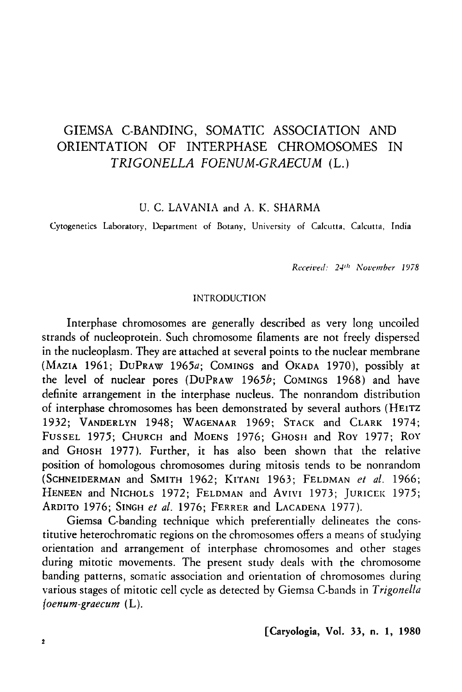## GIEMSA C-BANDING, SOMATIC ASSOCIATION AND ORIENTATION OF INTERPHASE CHROMOSOMES IN TRIGONELLA FOENUM-GRAECUM (L.)

U. C. LAVANIA and A. K. SHARMA

Cytogenetics Laboratory, Department of Botany, University of Calcutta. Calcutta, India

*Received: 24<sup>th</sup> November 1978* 

#### INTRODUCTION

lnterphase chromosomes are generally described as very long uncoiled strands of nucleoprotein. Such chromosome filaments are not freely dispersed in the nucleoplasm. They are attached at several points to the nuclear membrane (MAZIA 1961; DuPRAW 1965a; COMINGS and OKADA 1970), possibly at the level of nuclear pores (DuPRAW 1965b; COMINGS 1968) and have definite arrangement in the interphase nucleus. The nonrandom distribution of interphase chromosomes has been demonstrated by several authors (HEITZ 1932; VANDERLYN 1948; WAGENAAR 1969; STACK and CLARK 1974; FUSSEL 1975; CHURCH and MOENS 1976; GHOSH and ROY 1977; ROY and GHOSH 1977). Further, it has also been shown that the relative position of homologous chromosomes during mitosis tends to be nonrandom (SCHNEIDERMAN and SMITH 1962; KrrANI 1963; FELDMAN *et al.* 1966; HENEEN and NICHOLS 1972; FELDMAN and AVIVI 1973; JURICEK 1975; ARDITO 1976; SINGH *et al.* 1976; FERRER and LACADENA 1977 ).

Giemsa C-banding technique which preferentially delineates the constitutive heterochromatic regions on the chromosomes offers a means of studying orientation and arrangement of interphase chromosomes and other stages during mitotic movements. The present study deals with the chromosome banding patterns, somatic association and orientation of chromosomes during various stages of mitotic cell cycle as detected by Giemsa C-bands in *Trigonel!a foenum-graecum* (L).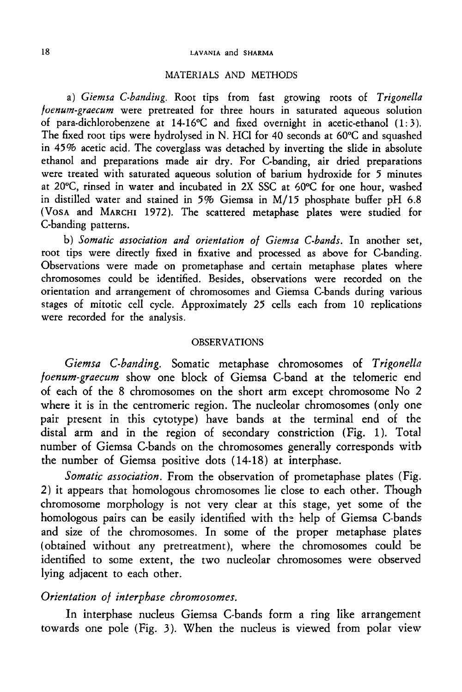#### 18 LAVANIA and SHARMA

#### MATERIALS AND METHODS

a) *Giemsa C-banding.* Root tips from fast growing roots of *Trigonella foenum-graecum* were pretreated for three hours in saturated aqueous solution of para-dichlorobenzene at 14-16°C and fixed overnight in acetic-ethanol (1:3). The fixed root tips were hydrolysed in N. HCl for 40 seconds at 60°C and squashed in 45% acetic acid. The coverglass was detached by inverting the slide in absolute ethanol and preparations made air dry. For C-banding, air dried preparations were treated with saturated aqueous solution of barium hydroxide for 5 minutes at 20°C, rinsed in water and incubated in 2X SSC at 60°C for one hour, washed in distilled water and stained in *5%* Giemsa in M/15 phosphate buffer pH 6.8 (VosA and MARCHI 1972). The scattered metaphase plates were studied for C-banding patterns.

b) *Somatic association and orientation of Giemsa C-bands.* In another set, root tips were directly fixed in fixative and processed as above for C-banding. Observations were made on prometaphase and certain metaphase plates where chromosomes could be identified. Besides, observations were recorded on the orientation and arrangement of chromosomes and Giemsa C-bands during various stages of mitotic cell cycle. Approximately *25* cells each from 10 replications were recorded for the analysis.

#### OBSERVATIONS

Giemsa C-banding. Somatic metaphase chromosomes of *Trigonella foenum-graecum* show one block of Giemsa C-band at the telomeric end of each of the 8 chromosomes on the short arm except chromosome No 2 where it is in the centromeric region. The nucleolar chromosomes (only one pair present in this cytotype) have bands at the terminal end of the distal arm and in the region of secondary constriction (Fig. 1). Total number of Giemsa C-bands on the chromosomes generally corresponds with the number of Giemsa positive dots (14-18) at interphase.

*Somatic association.* From the observation of prometaphase plates (Fig. 2) it appears that homologous chromosomes lie close to each other. Though chromosome morphology is not very clear at this stage, yet some of the homologous pairs can be easily identified with the help of Giemsa C-bands and size of the chromosomes. In some of the proper metaphase plates (obtained without any pretreatment), where the chromosomes could be identified to some extent, the two nucleolar chromosomes were observed lying adjacent to each other.

#### *Orientation of interphase chromosomes.*

In interphase nucleus Giemsa C-bands form a ring like arrangement towards one pole (Fig. 3 ). When the nucleus is viewed from polar view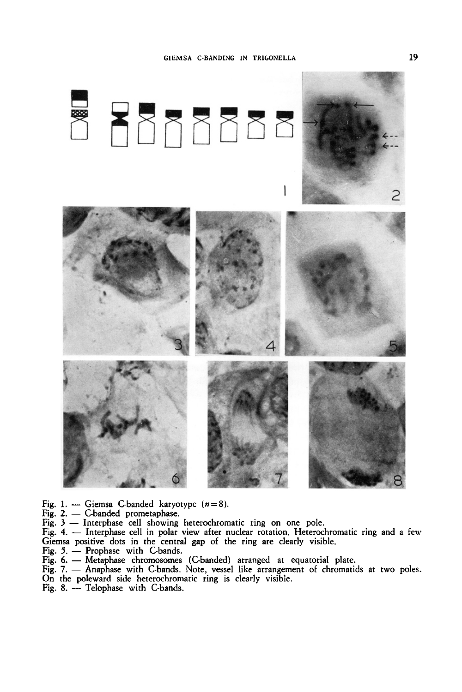

- Fig. 1. Giemsa C-banded karyotype  $(n=8)$ .
- $Fig. 2. C-banded prometaphase.$
- Fig. 3 Interphase cell showing heterochromatic ring on one pole.
- Fig. 4. Interphase cell in polar view after nuclear rotation. Heterochromatic ring and a few Giemsa positive dots in the central gap of the ring are clearly visible.
- Fig.  $5.$  Prophase with C-bands.
- Fig. 6. Metaphase chromosomes (C-banded) arranged at equatorial plate.
- Fig. 7. Anaphase with C-bands. Note, vessel like arrangement of chromatids at two poles.
- On the poleward side heterochromatic ring is clearly visible.
- Fig. 8. Telophase with C-bands.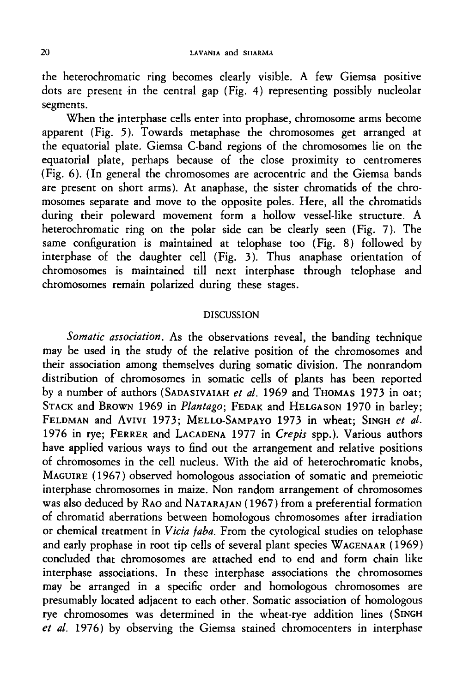the heterochromatic ring becomes clearly visible. A few Giemsa positive dots are present in the central gap (Fig. 4) representing possibly nucleolar segments.

When the interphase cells enter into prophase, chromosome arms become apparent (Fig. 5). Towards metaphase the chromosomes get arranged at the equatorial plate. Giemsa C-band regions of the chromosomes lie on the equatorial plate, perhaps because of the close proximity to centromeres (Fig. 6). (In general the chromosomes are acrocentric and the Giemsa bands are present on short arms). At anaphase, the sister chromatids of the chromosomes separate and move to the opposite poles. Here, all the chromatids during their poleward movement form a hollow vessel-like structure. A heterochromatic ring on the polar side can be clearly seen (Fig. 7). The same configuration is maintained at telophase too (Fig. 8) followed by interphase of the daughter cell (Fig. 3). Thus anaphase orientation of chromosomes is maintained till next interphase through telophase and chromosomes remain polarized during these stages.

#### DISCUSSION

*Somatic association.* As the observations reveal, the banding technique may be used in the study of the relative position of the chromosomes and their association among themselves during somatic division. The nonrandom distribution of chromosomes in somatic cells of plants has been reported by a number of authors (SADASIVAIAH *et al.* 1969 and THOMAS 1973 in oat; STACK and BROWN 1969 in *Plantago;* FEDAK and HELGASON 1970 in barley; FELDMAN and AVIVI 1973; MELLO-SAMPAYO 1973 in wheat; SINGH *et al.* 1976 in rye; FERRER and LACADENA 1977 in *Crepis* spp.). Various authors have applied various ways to find out the arrangement and relative positions of chromosomes in the cell nucleus. With the aid of heterochromatic knobs, MAGUIRE (1967) observed homologous association of somatic and premeiotic interphase chromosomes in maize. Non random arrangement of chromosomes was also deduced by RAO and NATARAJAN ( 1967) from a preferential formation of chromatid aberrations between homologous chromosomes after irradiation or chemical treatment in *Vicia faba.* From the cytological studies on telophase and early prophase in root tip cells of several plant species WAGENAAR ( 1969) concluded that chromosomes are attached end to end and form chain like interphase associations. In these interphase associations the chromosomes may be arranged in a specific order and homologous chromosomes are presumably located adjacent to each other. Somatic association of homologous rye chromosomes was determined in the wheat-rye addition lines (SINGH *et al.* 1976) by observing the Giemsa stained chromocenters in interphase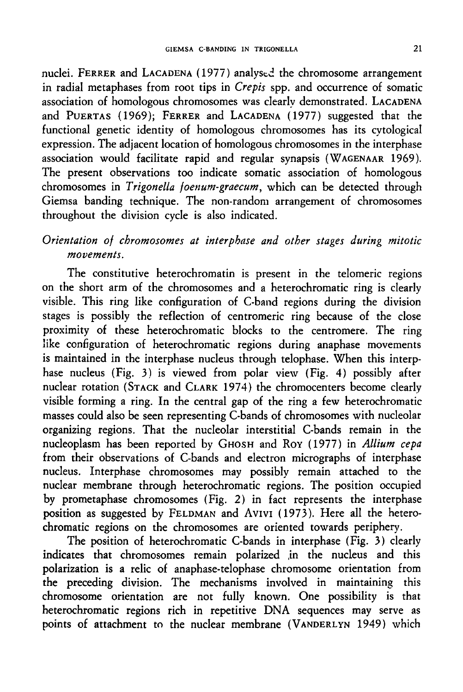nuclei. FERRER and LACADENA (1977) analysed the chromosome arrangement in radial metaphases from root tips in *Crepis* spp. and occurrence of somatic association of homologous chromosomes was clearly demonstrated. LACADENA and PUERTAS (1969); FERRER and LACADENA (1977) suggested that the functional genetic identity of homologous chromosomes has its cytological expression. The adjacent location of homologous chromosomes in the interphase association would facilitate rapid and regular synapsis (WAGENAAR 1969 ). The present observations too indicate somatic association of homologous chromosomes in *Trigonella foenum-graecum,* which can be detected through Giemsa banding technique. The non-random arrangement of chromosomes throughout the division cycle is also indicated.

### *Orientation of chromosomes at interphase and other stages during mitotic movements.*

The constitutive heterochromatin is present in the telomeric regions on the short arm of the chromosomes and a heterochromatic ring is clearly visible. This ring like configuration of C-band regions during the division stages is possibly the reflection of centromeric ring because of the close proximity of these heterochromatic blocks to the centromere. The ring like configuration of heterochromatic regions during anaphase movements is maintained in the interphase nucleus through telophase. When this interphase nucleus (Fig. 3) is viewed from polar view (Fig. 4) possibly after nuclear rotation (STACK and CLARK 1974) the chromocenters become clearly visible forming a ring. In the central gap of the ring a few heterochromatic masses could also be seen representing C-bands of chromosomes with nucleolar organizing regions. That the nucleolar interstitial C-bands remain in the nucleoplasm has been reported by GHOSH and RoY ( 1977) in *Allium cepa*  from their observations of C-bands and electron micrographs of interphase nucleus. lnterphase chromosomes may possibly remain attached to the nuclear membrane through heterochromatic regions. The position occupied by prometaphase chromosomes (Fig. 2) in fact represents the interphase position as suggested by FELDMAN and AVIVI (1973). Here all the heterochromatic regions on the chromosomes are oriented towards periphery.

The position of heterochromatic C-bands in interphase (Fig. 3) clearly indicates that chromosomes remain polarized ,in the nucleus and this polarization is a relic of anaphase-telophase chromosome orientation from the preceding division. The mechanisms involved in maintaining this chromosome orientation are not fully known. One possibility is that heterochromatic regions rich in repetitive DNA sequences may serve as points of attachment to the nuclear membrane (VANDERLYN 1949) which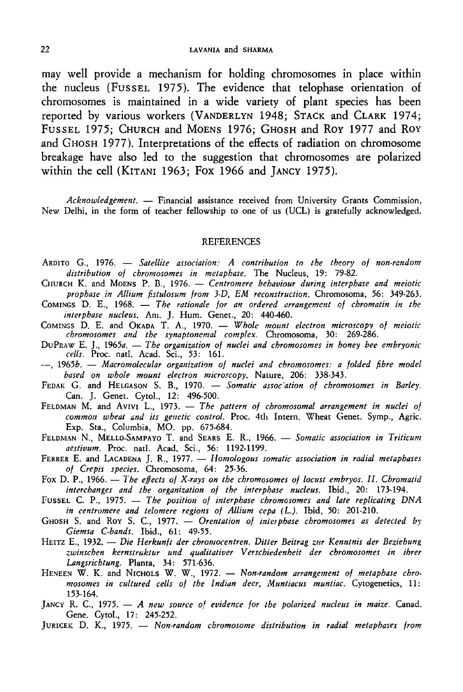may well provide a mechanism for holding chromosomes in place within the nucleus (FUSSEL 1975). The evidence that telophase orientation of chromosomes is maintained in a wide variety of plant species has been reported by various workers (VANDERLYN 1948; STACK and CLARK 1974; FussEL 1975; CHURCH and MoENs 1976; GHOSH and Roy 1977 and RoY and GHOSH 1977). Interpretations of the effects of radiation on chromosome breakage have also led to the suggestion that chromosomes are polarized within the cell (KITANI 1963; Fox 1966 and *]ANCY* 1975).

*Acknowledgement.* - Financial assistance received from University Grants Commission, New Delhi, in the form of teacher fellowship to one of us (UCL) is gratefully acknowledged.

#### **REFERENCES**

- ARDITO G., 1976. *Satellite association: A contribution to the theory of non-random distribution of chromosomes in metaphase.* The Nucleus, 19: 79-82.
- CHURCH K. and MoENS P. B., 1976. *Centromere behaviour during interphase and meiotic prophase in Allium fistulosum from 3-D, EM reconstruction.* Chromosoma, 56: 349-263.
- COMINGS D. E., 1968. *The rationale for an ordered arrangement of chromatin in the interphase nucleus.* Am. J. Hum. Genet., 20: 440-460.
- COMINGS D. E. and OKADA T. A., 1970. *Whole mount electron microscopy of meiotic chromosomes and the synaptonemal complex.* Chromosoma, 30: 269-286.
- DuPr.aw E. J., 1965*a. The organization of nuclei and chromosomes in honey bee embryonic cells.* Proc. natl. Acad. Sci., 53: 161.
- --, 1965b. Macromolecular organization of nuclei and chromosomes: a folded fibre model *based on whole mount electron microscopy.* Nature, 206: 338-343.
- FEDAK G. and HELGASON S. B., 1970. *Somatic assoc ation of chromosomes in Barley*. Can. J. Genet. Cytol., 12: 496-500.
- FELDMAN M. and AVIVI L., 1973. *The pattern of chromosomal arrangement in nuclei of common wheat and its genetic control.* Proc. 4th Intern. Wheat Genet. Symp., Agric. Exp. Sta., Columbia, MO. pp. 675-684.
- FELDMAN N., MELLO-SAMPAYO T. and SEARS E. R., 1966. *Somatic association in Triticum aestivum.* Proc. natl. Acad. Sci., 56: 1192-1199.
- FERRER E. and LACADENA J. R., 1977. *Homologous somatic association in radial metaphases of Crepis species.* Chromosoma, 64: 25-36.
- Fox D. P., 1966. *The effects of X-rays on the chromosomes of locust embryos. II. Chromatid interchanges and the organization of the interphase nucleus.* Ibid., 20: 173-194.
- FUSSEL C. P., 1975. *The position of interphase chromosomes and late replicating DNA in centromere and telomere regions of Allium cepa (* L.). Ibid, 50: 201-210.
- GHOSH S. and ROY S. C., 1977. *Orentation of interphase chromosomes as detected by Giemsa C-bands.* Ibid., 61: 49-55.
- HEITZ E., 1932. *Die Herkunft der chromocentren. Ditter Beitrag zur Kenntnis der Beziehung ::.winschen kernstruktur und qualitativer V erschiedenheit der chromosomes in ihrer Langsrichtung.* Planta, 34: 571-636.
- HENEEN W. K. and NICHOLS W. W., 1972. *Non-random arrangement of metaphase chromosomes in cultured cells of tbe Indian deer, Muntiacus muntiac.* Cytogenetics, 11: 153-164.
- JANCY R. C., 1975. *A new source of evidence for the polarized nucleus in maize*. Canad. Gene. Cytol., 17: 245-252.
- JURICEK D. K., 1975. *Non-random chromosome distribution in radial metaphases from*